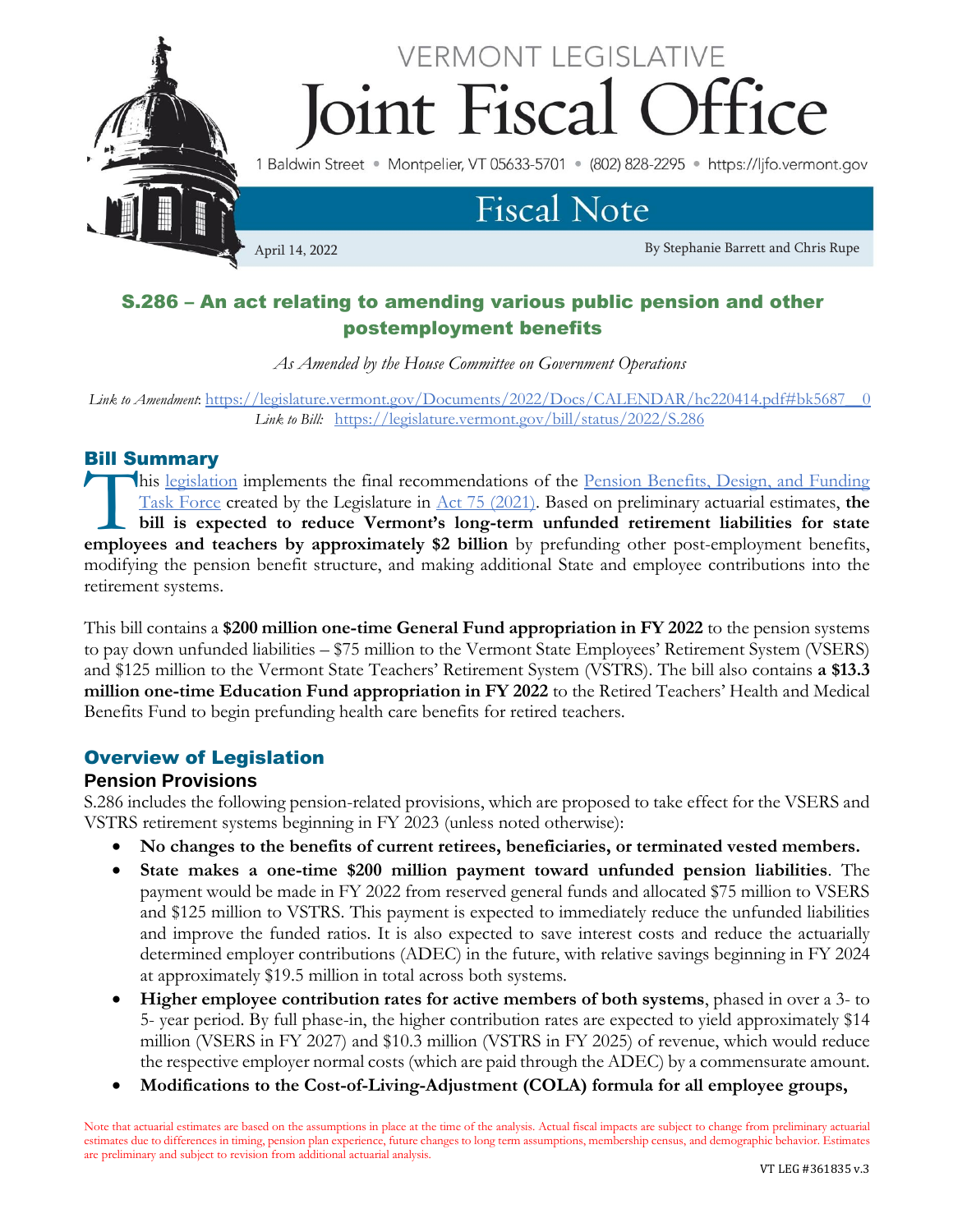

# S.286 – An act relating to amending various public pension and other postemployment benefits

*As Amended by the House Committee on Government Operations*

*Link to Amendment*: [https://legislature.vermont.gov/Documents/2022/Docs/CALENDAR/hc220414.pdf#bk5687\\_\\_0](https://legislature.vermont.gov/Documents/2022/Docs/CALENDAR/hc220414.pdf#bk5687__0) *Link to Bill:*<https://legislature.vermont.gov/bill/status/2022/S.286>

# Bill Summary

his [legislation](https://legislature.vermont.gov/bill/status/2022/S.286) implements the final recommendations of the Pension Benefits, Design, and Funding [Task Force](https://legislature.vermont.gov/committee/detail/2022/367) created by the Legislature in [Act 75 \(2021\).](https://legislature.vermont.gov/Documents/2022/Docs/ACTS/ACT075/ACT075%20As%20Enacted.pdf) Based on preliminary actuarial estimates, **the bill is expected to reduce Vermont's long-term unfunded retirement liabilities for state**  his legislation implements the final recommendations of the <u>Pension Benefits, Design, and Funding</u><br>Task Force created by the Legislature in <u>Act 75 (2021</u>). Based on preliminary actuarial estimates, the<br>bill is expected t modifying the pension benefit structure, and making additional State and employee contributions into the retirement systems.

This bill contains a **\$200 million one-time General Fund appropriation in FY 2022** to the pension systems to pay down unfunded liabilities – \$75 million to the Vermont State Employees' Retirement System (VSERS) and \$125 million to the Vermont State Teachers' Retirement System (VSTRS). The bill also contains **a \$13.3 million one-time Education Fund appropriation in FY 2022** to the Retired Teachers' Health and Medical Benefits Fund to begin prefunding health care benefits for retired teachers.

# Overview of Legislation

## **Pension Provisions**

S.286 includes the following pension-related provisions, which are proposed to take effect for the VSERS and VSTRS retirement systems beginning in FY 2023 (unless noted otherwise):

- **No changes to the benefits of current retirees, beneficiaries, or terminated vested members.**
- **State makes a one-time \$200 million payment toward unfunded pension liabilities**. The payment would be made in FY 2022 from reserved general funds and allocated \$75 million to VSERS and \$125 million to VSTRS. This payment is expected to immediately reduce the unfunded liabilities and improve the funded ratios. It is also expected to save interest costs and reduce the actuarially determined employer contributions (ADEC) in the future, with relative savings beginning in FY 2024 at approximately \$19.5 million in total across both systems.
- **Higher employee contribution rates for active members of both systems**, phased in over a 3- to 5- year period. By full phase-in, the higher contribution rates are expected to yield approximately \$14 million (VSERS in FY 2027) and \$10.3 million (VSTRS in FY 2025) of revenue, which would reduce the respective employer normal costs (which are paid through the ADEC) by a commensurate amount.
- **Modifications to the Cost-of-Living-Adjustment (COLA) formula for all employee groups,**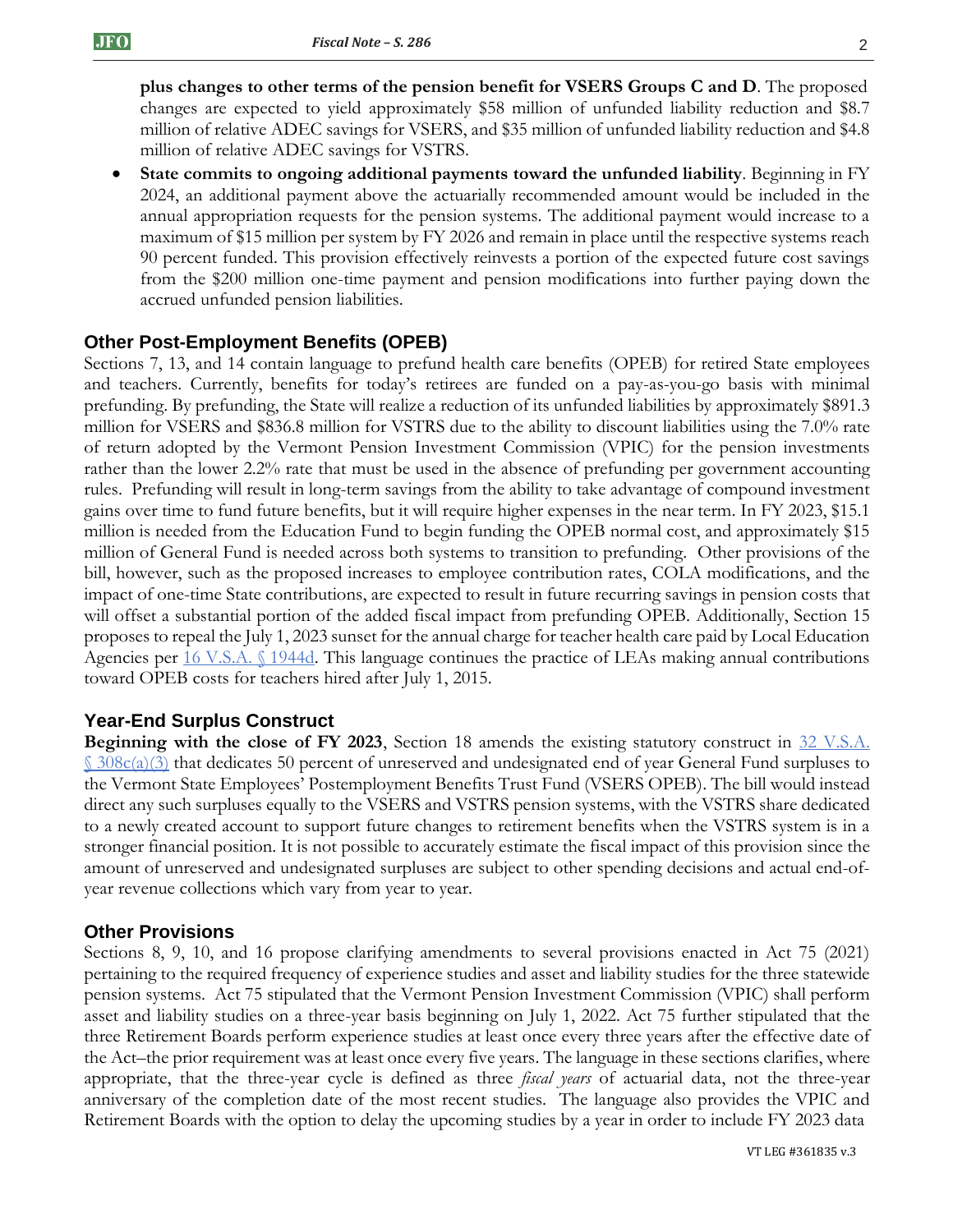**plus changes to other terms of the pension benefit for VSERS Groups C and D**. The proposed changes are expected to yield approximately \$58 million of unfunded liability reduction and \$8.7 million of relative ADEC savings for VSERS, and \$35 million of unfunded liability reduction and \$4.8 million of relative ADEC savings for VSTRS.

• **State commits to ongoing additional payments toward the unfunded liability**. Beginning in FY 2024, an additional payment above the actuarially recommended amount would be included in the annual appropriation requests for the pension systems. The additional payment would increase to a maximum of \$15 million per system by FY 2026 and remain in place until the respective systems reach 90 percent funded. This provision effectively reinvests a portion of the expected future cost savings from the \$200 million one-time payment and pension modifications into further paying down the accrued unfunded pension liabilities.

## **Other Post-Employment Benefits (OPEB)**

Sections 7, 13, and 14 contain language to prefund health care benefits (OPEB) for retired State employees and teachers. Currently, benefits for today's retirees are funded on a pay-as-you-go basis with minimal prefunding. By prefunding, the State will realize a reduction of its unfunded liabilities by approximately \$891.3 million for VSERS and \$836.8 million for VSTRS due to the ability to discount liabilities using the 7.0% rate of return adopted by the Vermont Pension Investment Commission (VPIC) for the pension investments rather than the lower 2.2% rate that must be used in the absence of prefunding per government accounting rules. Prefunding will result in long-term savings from the ability to take advantage of compound investment gains over time to fund future benefits, but it will require higher expenses in the near term. In FY 2023, \$15.1 million is needed from the Education Fund to begin funding the OPEB normal cost, and approximately \$15 million of General Fund is needed across both systems to transition to prefunding. Other provisions of the bill, however, such as the proposed increases to employee contribution rates, COLA modifications, and the impact of one-time State contributions, are expected to result in future recurring savings in pension costs that will offset a substantial portion of the added fiscal impact from prefunding OPEB. Additionally, Section 15 proposes to repeal the July 1, 2023 sunset for the annual charge for teacher health care paid by Local Education Agencies per [16 V.S.A. §](https://legislature.vermont.gov/statutes/section/16/055/01944d) 1944d. This language continues the practice of LEAs making annual contributions toward OPEB costs for teachers hired after July 1, 2015.

## **Year-End Surplus Construct**

**Beginning with the close of FY 2023**, Section 18 amends the existing statutory construct in 32 V.S.A.  $\frac{\S 308c(a)(3)}{3}$  $\frac{\S 308c(a)(3)}{3}$  $\frac{\S 308c(a)(3)}{3}$  that dedicates 50 percent of unreserved and undesignated end of year General Fund surpluses to the Vermont State Employees' Postemployment Benefits Trust Fund (VSERS OPEB). The bill would instead direct any such surpluses equally to the VSERS and VSTRS pension systems, with the VSTRS share dedicated to a newly created account to support future changes to retirement benefits when the VSTRS system is in a stronger financial position. It is not possible to accurately estimate the fiscal impact of this provision since the amount of unreserved and undesignated surpluses are subject to other spending decisions and actual end-ofyear revenue collections which vary from year to year.

### **Other Provisions**

Sections 8, 9, 10, and 16 propose clarifying amendments to several provisions enacted in Act 75 (2021) pertaining to the required frequency of experience studies and asset and liability studies for the three statewide pension systems. Act 75 stipulated that the Vermont Pension Investment Commission (VPIC) shall perform asset and liability studies on a three-year basis beginning on July 1, 2022. Act 75 further stipulated that the three Retirement Boards perform experience studies at least once every three years after the effective date of the Act–the prior requirement was at least once every five years. The language in these sections clarifies, where appropriate, that the three-year cycle is defined as three *fiscal years* of actuarial data, not the three-year anniversary of the completion date of the most recent studies. The language also provides the VPIC and Retirement Boards with the option to delay the upcoming studies by a year in order to include FY 2023 data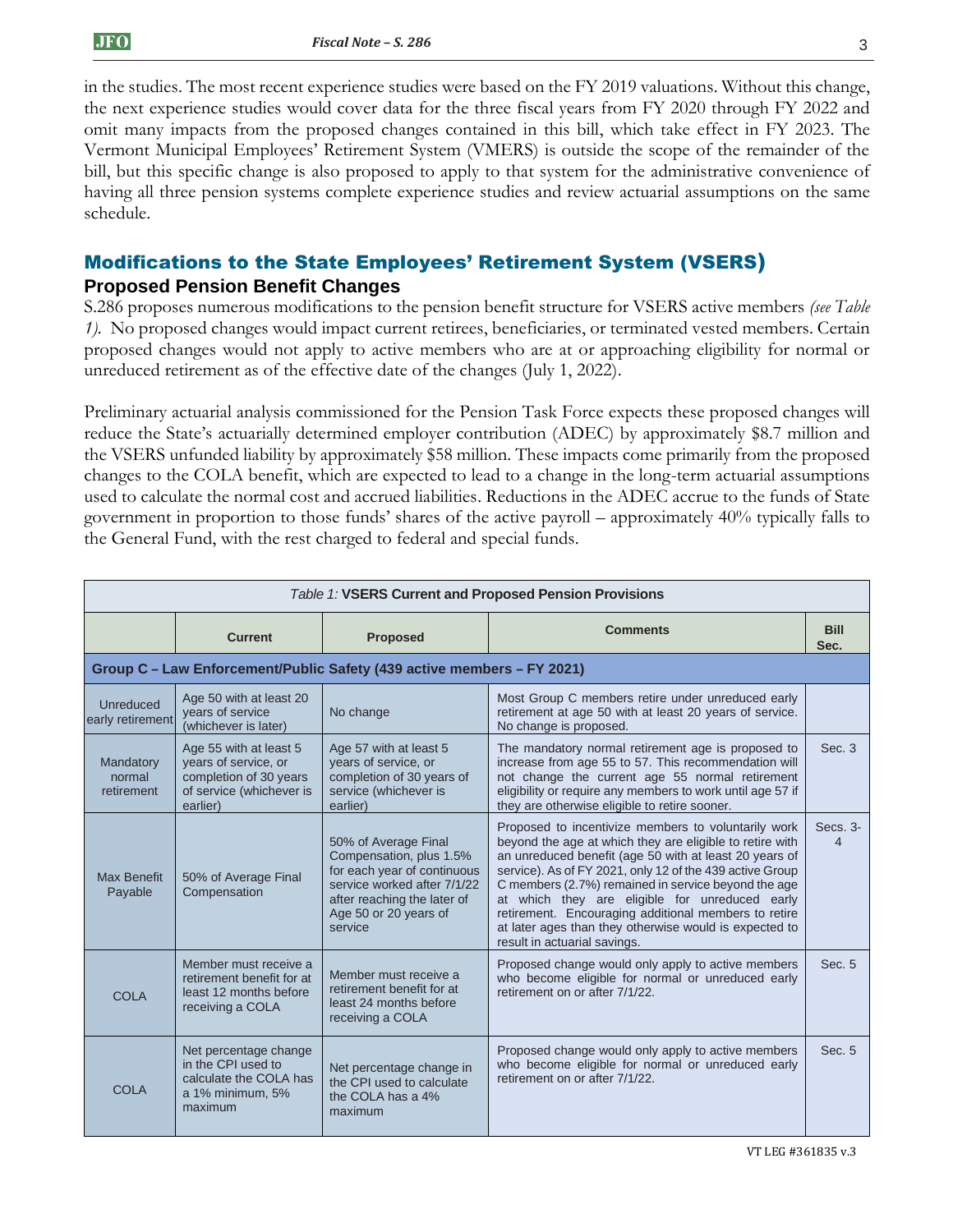in the studies. The most recent experience studies were based on the FY 2019 valuations. Without this change, the next experience studies would cover data for the three fiscal years from FY 2020 through FY 2022 and omit many impacts from the proposed changes contained in this bill, which take effect in FY 2023. The Vermont Municipal Employees' Retirement System (VMERS) is outside the scope of the remainder of the bill, but this specific change is also proposed to apply to that system for the administrative convenience of having all three pension systems complete experience studies and review actuarial assumptions on the same schedule.

# Modifications to the State Employees' Retirement System (VSERS)

## **Proposed Pension Benefit Changes**

S.286 proposes numerous modifications to the pension benefit structure for VSERS active members *(see Table 1).* No proposed changes would impact current retirees, beneficiaries, or terminated vested members. Certain proposed changes would not apply to active members who are at or approaching eligibility for normal or unreduced retirement as of the effective date of the changes (July 1, 2022).

Preliminary actuarial analysis commissioned for the Pension Task Force expects these proposed changes will reduce the State's actuarially determined employer contribution (ADEC) by approximately \$8.7 million and the VSERS unfunded liability by approximately \$58 million. These impacts come primarily from the proposed changes to the COLA benefit, which are expected to lead to a change in the long-term actuarial assumptions used to calculate the normal cost and accrued liabilities. Reductions in the ADEC accrue to the funds of State government in proportion to those funds' shares of the active payroll – approximately 40% typically falls to the General Fund, with the rest charged to federal and special funds.

| <b>Table 1: VSERS Current and Proposed Pension Provisions</b> |                                                                                                                  |                                                                                                                                                                                  |                                                                                                                                                                                                                                                                                                                                                                                                                                                                                                  |                      |  |
|---------------------------------------------------------------|------------------------------------------------------------------------------------------------------------------|----------------------------------------------------------------------------------------------------------------------------------------------------------------------------------|--------------------------------------------------------------------------------------------------------------------------------------------------------------------------------------------------------------------------------------------------------------------------------------------------------------------------------------------------------------------------------------------------------------------------------------------------------------------------------------------------|----------------------|--|
|                                                               | <b>Current</b>                                                                                                   | <b>Proposed</b>                                                                                                                                                                  | <b>Comments</b>                                                                                                                                                                                                                                                                                                                                                                                                                                                                                  | <b>Bill</b><br>Sec.  |  |
|                                                               |                                                                                                                  | Group C - Law Enforcement/Public Safety (439 active members - FY 2021)                                                                                                           |                                                                                                                                                                                                                                                                                                                                                                                                                                                                                                  |                      |  |
| Unreduced<br>early retirement                                 | Age 50 with at least 20<br>vears of service<br>(whichever is later)                                              | No change                                                                                                                                                                        | Most Group C members retire under unreduced early<br>retirement at age 50 with at least 20 years of service.<br>No change is proposed.                                                                                                                                                                                                                                                                                                                                                           |                      |  |
| Mandatory<br>normal<br>retirement                             | Age 55 with at least 5<br>years of service, or<br>completion of 30 years<br>of service (whichever is<br>earlier) | Age 57 with at least 5<br>years of service, or<br>completion of 30 years of<br>service (whichever is<br>earlier)                                                                 | The mandatory normal retirement age is proposed to<br>increase from age 55 to 57. This recommendation will<br>not change the current age 55 normal retirement<br>eligibility or require any members to work until age 57 if<br>they are otherwise eligible to retire sooner.                                                                                                                                                                                                                     | Sec. 3               |  |
| <b>Max Benefit</b><br>Payable                                 | 50% of Average Final<br>Compensation                                                                             | 50% of Average Final<br>Compensation, plus 1.5%<br>for each year of continuous<br>service worked after 7/1/22<br>after reaching the later of<br>Age 50 or 20 years of<br>service | Proposed to incentivize members to voluntarily work<br>beyond the age at which they are eligible to retire with<br>an unreduced benefit (age 50 with at least 20 years of<br>service). As of FY 2021, only 12 of the 439 active Group<br>C members (2.7%) remained in service beyond the age<br>at which they are eligible for unreduced early<br>retirement. Encouraging additional members to retire<br>at later ages than they otherwise would is expected to<br>result in actuarial savings. | Secs. 3-<br>$\Delta$ |  |
| <b>COLA</b>                                                   | Member must receive a<br>retirement benefit for at<br>least 12 months before<br>receiving a COLA                 | Member must receive a<br>retirement benefit for at<br>least 24 months before<br>receiving a COLA                                                                                 | Proposed change would only apply to active members<br>who become eligible for normal or unreduced early<br>retirement on or after 7/1/22.                                                                                                                                                                                                                                                                                                                                                        | Sec. 5               |  |
| <b>COLA</b>                                                   | Net percentage change<br>in the CPI used to<br>calculate the COLA has<br>a 1% minimum, 5%<br>maximum             | Net percentage change in<br>the CPI used to calculate<br>the COLA has a 4%<br>maximum                                                                                            | Proposed change would only apply to active members<br>who become eligible for normal or unreduced early<br>retirement on or after 7/1/22.                                                                                                                                                                                                                                                                                                                                                        | Sec. 5               |  |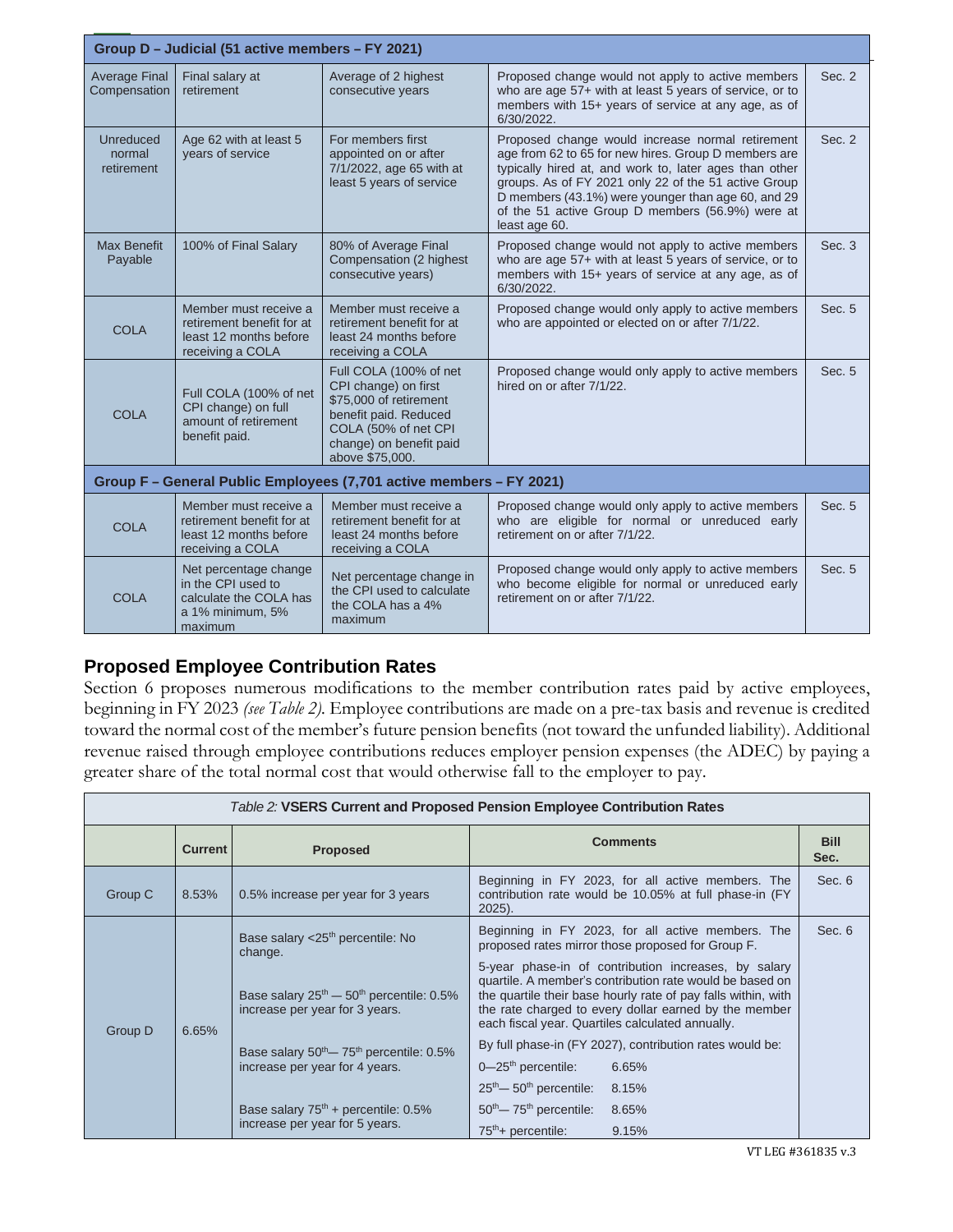| Group D - Judicial (51 active members - FY 2021)                    |                                                                                                      |                                                                                                                                                                         |                                                                                                                                                                                                                                                                                                                                                       |        |  |  |
|---------------------------------------------------------------------|------------------------------------------------------------------------------------------------------|-------------------------------------------------------------------------------------------------------------------------------------------------------------------------|-------------------------------------------------------------------------------------------------------------------------------------------------------------------------------------------------------------------------------------------------------------------------------------------------------------------------------------------------------|--------|--|--|
| <b>Average Final</b><br>Compensation                                | Final salary at<br>retirement                                                                        | Average of 2 highest<br>consecutive years                                                                                                                               | Proposed change would not apply to active members<br>who are age 57+ with at least 5 years of service, or to<br>members with 15+ years of service at any age, as of<br>6/30/2022.                                                                                                                                                                     | Sec. 2 |  |  |
| Unreduced<br>normal<br>retirement                                   | Age 62 with at least 5<br>vears of service                                                           | For members first<br>appointed on or after<br>7/1/2022, age 65 with at<br>least 5 years of service                                                                      | Proposed change would increase normal retirement<br>age from 62 to 65 for new hires. Group D members are<br>typically hired at, and work to, later ages than other<br>groups. As of FY 2021 only 22 of the 51 active Group<br>D members (43.1%) were younger than age 60, and 29<br>of the 51 active Group D members (56.9%) were at<br>least age 60. | Sec. 2 |  |  |
| <b>Max Benefit</b><br>Payable                                       | 100% of Final Salary                                                                                 | 80% of Average Final<br>Compensation (2 highest<br>consecutive years)                                                                                                   | Proposed change would not apply to active members<br>who are age 57+ with at least 5 years of service, or to<br>members with 15+ years of service at any age, as of<br>6/30/2022.                                                                                                                                                                     | Sec. 3 |  |  |
| <b>COLA</b>                                                         | Member must receive a<br>retirement benefit for at<br>least 12 months before<br>receiving a COLA     | Member must receive a<br>retirement benefit for at<br>least 24 months before<br>receiving a COLA                                                                        | Proposed change would only apply to active members<br>who are appointed or elected on or after 7/1/22.                                                                                                                                                                                                                                                | Sec. 5 |  |  |
| <b>COLA</b>                                                         | Full COLA (100% of net<br>CPI change) on full<br>amount of retirement<br>benefit paid.               | Full COLA (100% of net<br>CPI change) on first<br>\$75,000 of retirement<br>benefit paid. Reduced<br>COLA (50% of net CPI<br>change) on benefit paid<br>above \$75,000. | Proposed change would only apply to active members<br>hired on or after 7/1/22.                                                                                                                                                                                                                                                                       | Sec. 5 |  |  |
| Group F - General Public Employees (7,701 active members - FY 2021) |                                                                                                      |                                                                                                                                                                         |                                                                                                                                                                                                                                                                                                                                                       |        |  |  |
| <b>COLA</b>                                                         | Member must receive a<br>retirement benefit for at<br>least 12 months before<br>receiving a COLA     | Member must receive a<br>retirement benefit for at<br>least 24 months before<br>receiving a COLA                                                                        | Proposed change would only apply to active members<br>who are eligible for normal or unreduced early<br>retirement on or after 7/1/22.                                                                                                                                                                                                                | Sec. 5 |  |  |
| <b>COLA</b>                                                         | Net percentage change<br>in the CPI used to<br>calculate the COLA has<br>a 1% minimum, 5%<br>maximum | Net percentage change in<br>the CPI used to calculate<br>the COLA has a 4%<br>maximum                                                                                   | Proposed change would only apply to active members<br>who become eligible for normal or unreduced early<br>retirement on or after 7/1/22.                                                                                                                                                                                                             | Sec. 5 |  |  |

# **Proposed Employee Contribution Rates**

Section 6 proposes numerous modifications to the member contribution rates paid by active employees, beginning in FY 2023 *(see Table 2).* Employee contributions are made on a pre-tax basis and revenue is credited toward the normal cost of the member's future pension benefits (not toward the unfunded liability). Additional revenue raised through employee contributions reduces employer pension expenses (the ADEC) by paying a greater share of the total normal cost that would otherwise fall to the employer to pay.

| <i>Table 2:</i> VSERS Current and Proposed Pension Employee Contribution Rates |                |                                                                                                                                                                                                                                         |                                                                                                                                                                                                                                                                                                                                                                                                                                                                                                                              |                     |  |  |
|--------------------------------------------------------------------------------|----------------|-----------------------------------------------------------------------------------------------------------------------------------------------------------------------------------------------------------------------------------------|------------------------------------------------------------------------------------------------------------------------------------------------------------------------------------------------------------------------------------------------------------------------------------------------------------------------------------------------------------------------------------------------------------------------------------------------------------------------------------------------------------------------------|---------------------|--|--|
|                                                                                | <b>Current</b> | <b>Proposed</b>                                                                                                                                                                                                                         | <b>Comments</b>                                                                                                                                                                                                                                                                                                                                                                                                                                                                                                              | <b>Bill</b><br>Sec. |  |  |
| Group C                                                                        | 8.53%          | 0.5% increase per year for 3 years                                                                                                                                                                                                      | Beginning in FY 2023, for all active members. The<br>contribution rate would be 10.05% at full phase-in (FY<br>$2025$ ).                                                                                                                                                                                                                                                                                                                                                                                                     | Sec. 6              |  |  |
| Group D                                                                        | 6.65%          | Base salary <25 <sup>th</sup> percentile: No<br>change.<br>Base salary $25^{th}$ – $50^{th}$ percentile: 0.5%<br>increase per year for 3 years.<br>Base salary $50^{th}$ $- 75^{th}$ percentile: 0.5%<br>increase per year for 4 years. | Beginning in FY 2023, for all active members. The<br>proposed rates mirror those proposed for Group F.<br>5-year phase-in of contribution increases, by salary<br>quartile. A member's contribution rate would be based on<br>the quartile their base hourly rate of pay falls within, with<br>the rate charged to every dollar earned by the member<br>each fiscal year. Quartiles calculated annually.<br>By full phase-in (FY 2027), contribution rates would be:<br>$0 - 25$ <sup>th</sup> percentile:<br>6.65%<br>8.15% | Sec. 6              |  |  |
|                                                                                |                | Base salary $75th$ + percentile: 0.5%<br>increase per year for 5 years.                                                                                                                                                                 | $25th$ – $50th$ percentile:<br>$50th$ $- 75th$ percentile:<br>8.65%<br>$75th$ + percentile:<br>9.15%                                                                                                                                                                                                                                                                                                                                                                                                                         |                     |  |  |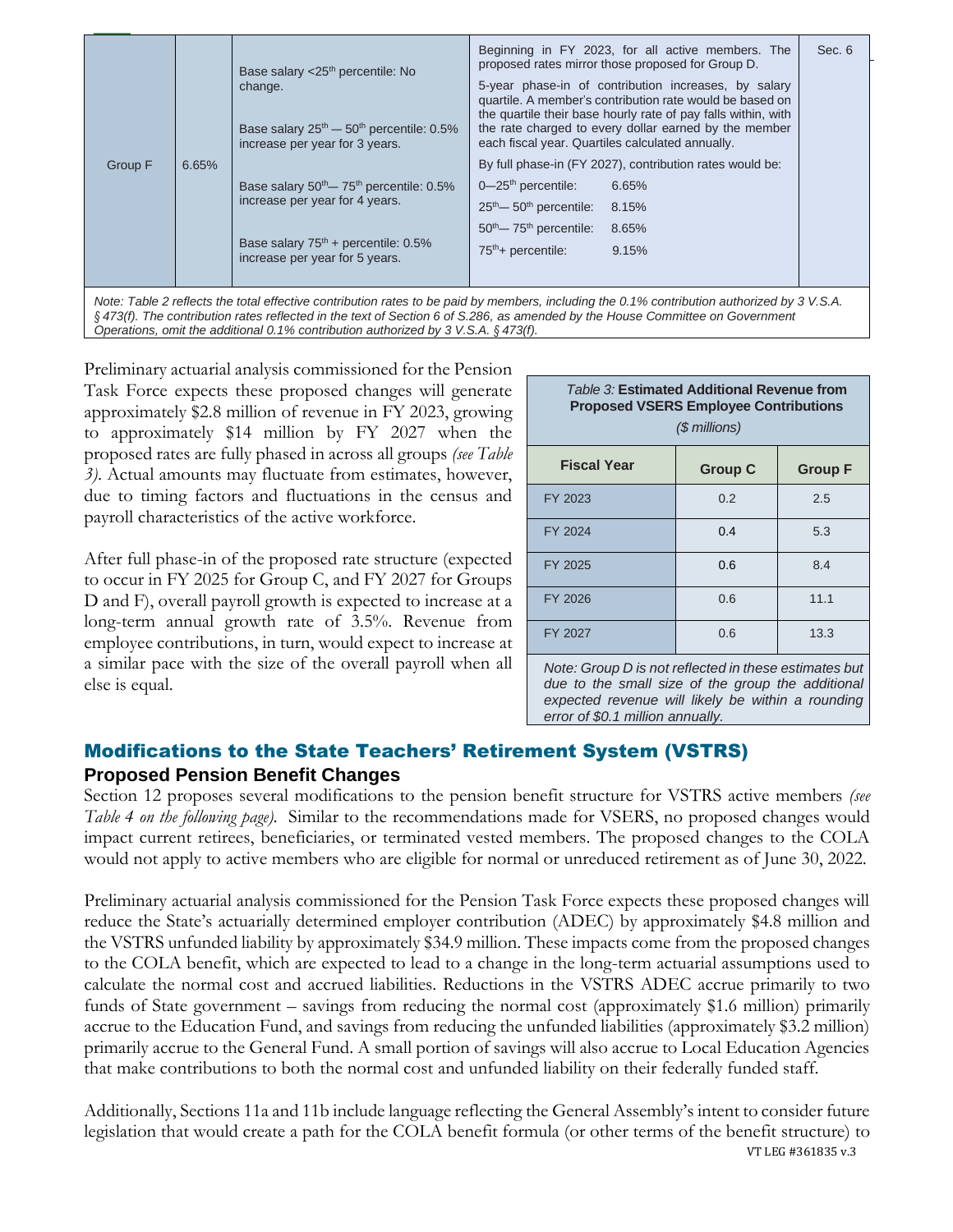|  | Group F<br>6.65% | Base salary <25 <sup>th</sup> percentile: No<br>change.<br>Base salary $25^{th}$ – $50^{th}$ percentile: 0.5%<br>increase per year for 3 years.<br>Base salary $50^{th}$ – $75^{th}$ percentile: 0.5%<br>increase per year for 4 years.<br>Base salary $75th$ + percentile: 0.5%<br>increase per year for 5 years. | Beginning in FY 2023, for all active members. The<br>Sec. 6<br>proposed rates mirror those proposed for Group D.<br>5-year phase-in of contribution increases, by salary<br>quartile. A member's contribution rate would be based on<br>the quartile their base hourly rate of pay falls within, with<br>the rate charged to every dollar earned by the member<br>each fiscal year. Quartiles calculated annually.<br>By full phase-in (FY 2027), contribution rates would be:<br>$0 - 25$ <sup>th</sup> percentile:<br>6.65%<br>$25th$ – 50 <sup>th</sup> percentile:<br>8.15%<br>$50th$ $- 75th$ percentile:<br>8.65%<br>$75th$ + percentile:<br>9.15% |
|--|------------------|--------------------------------------------------------------------------------------------------------------------------------------------------------------------------------------------------------------------------------------------------------------------------------------------------------------------|----------------------------------------------------------------------------------------------------------------------------------------------------------------------------------------------------------------------------------------------------------------------------------------------------------------------------------------------------------------------------------------------------------------------------------------------------------------------------------------------------------------------------------------------------------------------------------------------------------------------------------------------------------|
|--|------------------|--------------------------------------------------------------------------------------------------------------------------------------------------------------------------------------------------------------------------------------------------------------------------------------------------------------------|----------------------------------------------------------------------------------------------------------------------------------------------------------------------------------------------------------------------------------------------------------------------------------------------------------------------------------------------------------------------------------------------------------------------------------------------------------------------------------------------------------------------------------------------------------------------------------------------------------------------------------------------------------|

Preliminary actuarial analysis commissioned for the Pension Task Force expects these proposed changes will generate approximately \$2.8 million of revenue in FY 2023, growing to approximately \$14 million by FY 2027 when the proposed rates are fully phased in across all groups *(see Table 3)*. Actual amounts may fluctuate from estimates, however, due to timing factors and fluctuations in the census and payroll characteristics of the active workforce.

*Operations, omit the additional 0.1% contribution authorized by 3 V.S.A. § 473(f).* 

After full phase-in of the proposed rate structure (expected to occur in FY 2025 for Group C, and FY 2027 for Groups D and F), overall payroll growth is expected to increase at a long-term annual growth rate of 3.5%. Revenue from employee contributions, in turn, would expect to increase at a similar pace with the size of the overall payroll when all else is equal.

| Table 3: Estimated Additional Revenue from<br><b>Proposed VSERS Employee Contributions</b><br>$$$ millions) |                                                  |                                 |  |  |  |
|-------------------------------------------------------------------------------------------------------------|--------------------------------------------------|---------------------------------|--|--|--|
| <b>Fiscal Year</b>                                                                                          | <b>Group C</b>                                   | <b>Group F</b>                  |  |  |  |
| FY 2023                                                                                                     | 0.2                                              | 2.5                             |  |  |  |
| FY 2024                                                                                                     | 0.4                                              | 5.3                             |  |  |  |
| FY 2025                                                                                                     | 0.6                                              | 8.4                             |  |  |  |
| FY 2026                                                                                                     | 0.6                                              | 11.1                            |  |  |  |
| FY 2027                                                                                                     | 0.6                                              | 13.3                            |  |  |  |
| $\cdots$<br>$\sim$ $\cdot$                                                                                  | $\sim$ $\sim$ $\sim$ $\sim$ $\sim$ $\sim$ $\sim$ | $\mathbf{r}$ , and $\mathbf{r}$ |  |  |  |

*Note: Group D is not reflected in these estimates but due to the small size of the group the additional expected revenue will likely be within a rounding error of \$0.1 million annually.*

# Modifications to the State Teachers' Retirement System (VSTRS) **Proposed Pension Benefit Changes**

Section 12 proposes several modifications to the pension benefit structure for VSTRS active members *(see Table 4 on the following page).* Similar to the recommendations made for VSERS, no proposed changes would impact current retirees, beneficiaries, or terminated vested members. The proposed changes to the COLA would not apply to active members who are eligible for normal or unreduced retirement as of June 30, 2022.

Preliminary actuarial analysis commissioned for the Pension Task Force expects these proposed changes will reduce the State's actuarially determined employer contribution (ADEC) by approximately \$4.8 million and the VSTRS unfunded liability by approximately \$34.9 million. These impacts come from the proposed changes to the COLA benefit, which are expected to lead to a change in the long-term actuarial assumptions used to calculate the normal cost and accrued liabilities. Reductions in the VSTRS ADEC accrue primarily to two funds of State government – savings from reducing the normal cost (approximately \$1.6 million) primarily accrue to the Education Fund, and savings from reducing the unfunded liabilities (approximately \$3.2 million) primarily accrue to the General Fund. A small portion of savings will also accrue to Local Education Agencies that make contributions to both the normal cost and unfunded liability on their federally funded staff.

VT LEG #361835 v.3 Additionally, Sections 11a and 11b include language reflecting the General Assembly's intent to consider future legislation that would create a path for the COLA benefit formula (or other terms of the benefit structure) to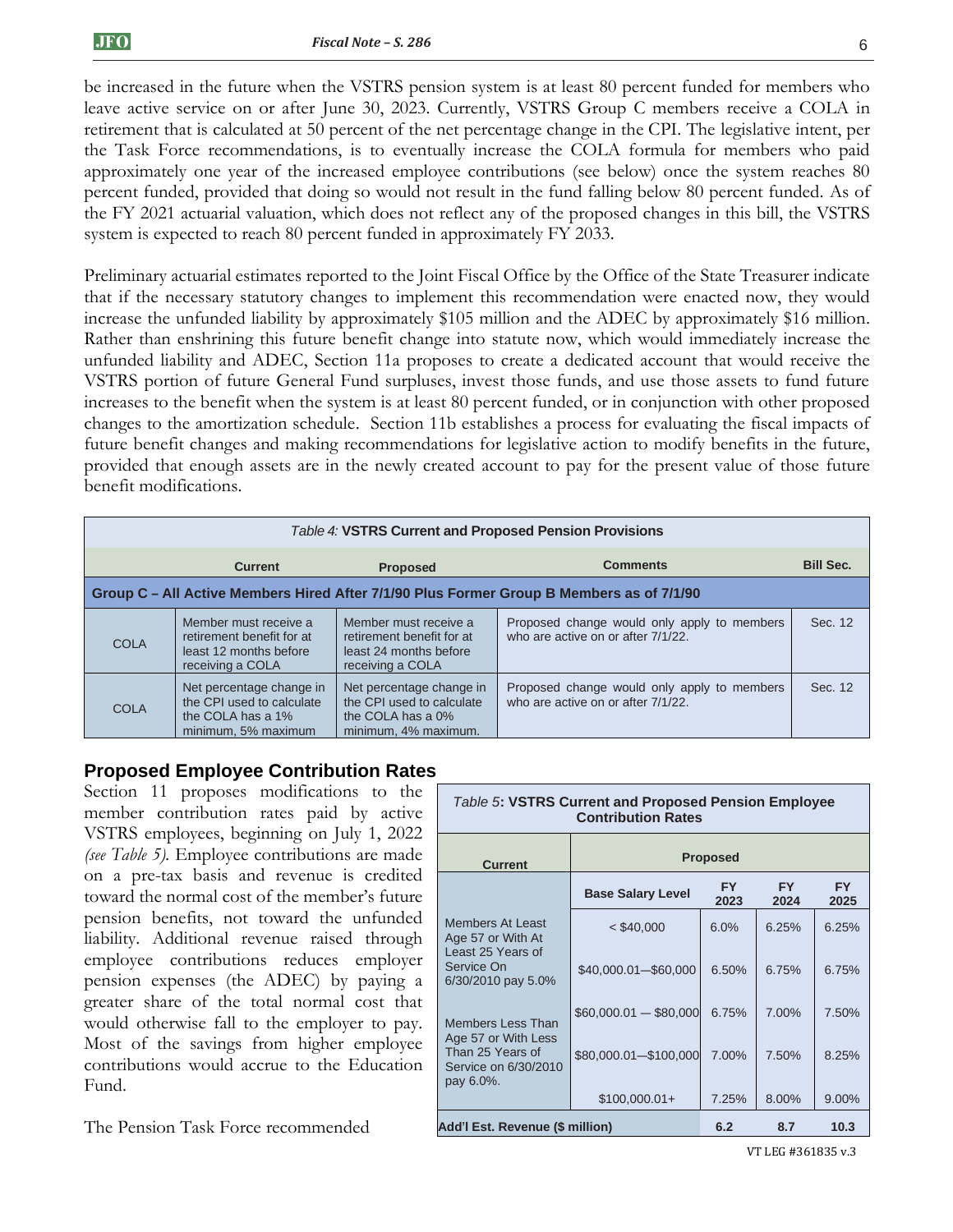be increased in the future when the VSTRS pension system is at least 80 percent funded for members who leave active service on or after June 30, 2023. Currently, VSTRS Group C members receive a COLA in retirement that is calculated at 50 percent of the net percentage change in the CPI. The legislative intent, per the Task Force recommendations, is to eventually increase the COLA formula for members who paid approximately one year of the increased employee contributions (see below) once the system reaches 80 percent funded, provided that doing so would not result in the fund falling below 80 percent funded. As of the FY 2021 actuarial valuation, which does not reflect any of the proposed changes in this bill, the VSTRS system is expected to reach 80 percent funded in approximately FY 2033.

Preliminary actuarial estimates reported to the Joint Fiscal Office by the Office of the State Treasurer indicate that if the necessary statutory changes to implement this recommendation were enacted now, they would increase the unfunded liability by approximately \$105 million and the ADEC by approximately \$16 million. Rather than enshrining this future benefit change into statute now, which would immediately increase the unfunded liability and ADEC, Section 11a proposes to create a dedicated account that would receive the VSTRS portion of future General Fund surpluses, invest those funds, and use those assets to fund future increases to the benefit when the system is at least 80 percent funded, or in conjunction with other proposed changes to the amortization schedule. Section 11b establishes a process for evaluating the fiscal impacts of future benefit changes and making recommendations for legislative action to modify benefits in the future, provided that enough assets are in the newly created account to pay for the present value of those future benefit modifications.

| Table 4: VSTRS Current and Proposed Pension Provisions |                                                                                                   |                                                                                                       |                                                                                   |                  |  |  |
|--------------------------------------------------------|---------------------------------------------------------------------------------------------------|-------------------------------------------------------------------------------------------------------|-----------------------------------------------------------------------------------|------------------|--|--|
|                                                        | <b>Current</b>                                                                                    | <b>Proposed</b>                                                                                       | <b>Comments</b>                                                                   | <b>Bill Sec.</b> |  |  |
|                                                        | Group C – All Active Members Hired After 7/1/90 Plus Former Group B Members as of 7/1/90          |                                                                                                       |                                                                                   |                  |  |  |
| <b>COLA</b>                                            | Member must receive a<br>retirement benefit for at<br>least 12 months before<br>receiving a COLA  | Member must receive a<br>retirement benefit for at<br>least 24 months before<br>receiving a COLA      | Proposed change would only apply to members<br>who are active on or after 7/1/22. | Sec. 12          |  |  |
| <b>COLA</b>                                            | Net percentage change in<br>the CPI used to calculate<br>the COLA has a 1%<br>minimum, 5% maximum | Net percentage change in<br>the CPI used to calculate<br>the COLA has a $0\%$<br>minimum. 4% maximum. | Proposed change would only apply to members<br>who are active on or after 7/1/22. | Sec. 12          |  |  |

### **Proposed Employee Contribution Rates**

Section 11 proposes modifications to the member contribution rates paid by active VSTRS employees, beginning on July 1, 2022 *(see Table 5).* Employee contributions are made on a pre-tax basis and revenue is credited toward the normal cost of the member's future pension benefits, not toward the unfunded liability. Additional revenue raised through employee contributions reduces employer pension expenses (the ADEC) by paying a greater share of the total normal cost that would otherwise fall to the employer to pay. Most of the savings from higher employee contributions would accrue to the Education Fund.

The Pension Task Force recommended

| <b>Table 5: VSTRS Current and Proposed Pension Employee</b><br><b>Contribution Rates</b> |                          |                   |                   |                   |  |
|------------------------------------------------------------------------------------------|--------------------------|-------------------|-------------------|-------------------|--|
| <b>Current</b>                                                                           |                          | <b>Proposed</b>   |                   |                   |  |
|                                                                                          | <b>Base Salary Level</b> | <b>FY</b><br>2023 | <b>FY</b><br>2024 | <b>FY</b><br>2025 |  |
| Members At Least<br>Age 57 or With At                                                    | $<$ \$40,000             | 6.0%              | 6.25%             | 6.25%             |  |
| Least 25 Years of<br>Service On<br>6/30/2010 pay 5.0%                                    | \$40,000.01-\$60,000     | 6.50%             | 6.75%             | 6.75%             |  |
| Members Less Than                                                                        | $$60,000.01 - $80,000$   | 6.75%             | 7.00%             | 7.50%             |  |
| Age 57 or With Less<br>Than 25 Years of<br>Service on 6/30/2010<br>pay 6.0%.             | \$80,000.01-\$100,000    | 7.00%             | 7.50%             | 8.25%             |  |
|                                                                                          | $$100,000.01+$           | 7.25%             | 8.00%             | 9.00%             |  |
| Add'l Est. Revenue (\$ million)<br>10.3<br>6.2<br>8.7                                    |                          |                   |                   |                   |  |

VT LEG #361835 v.3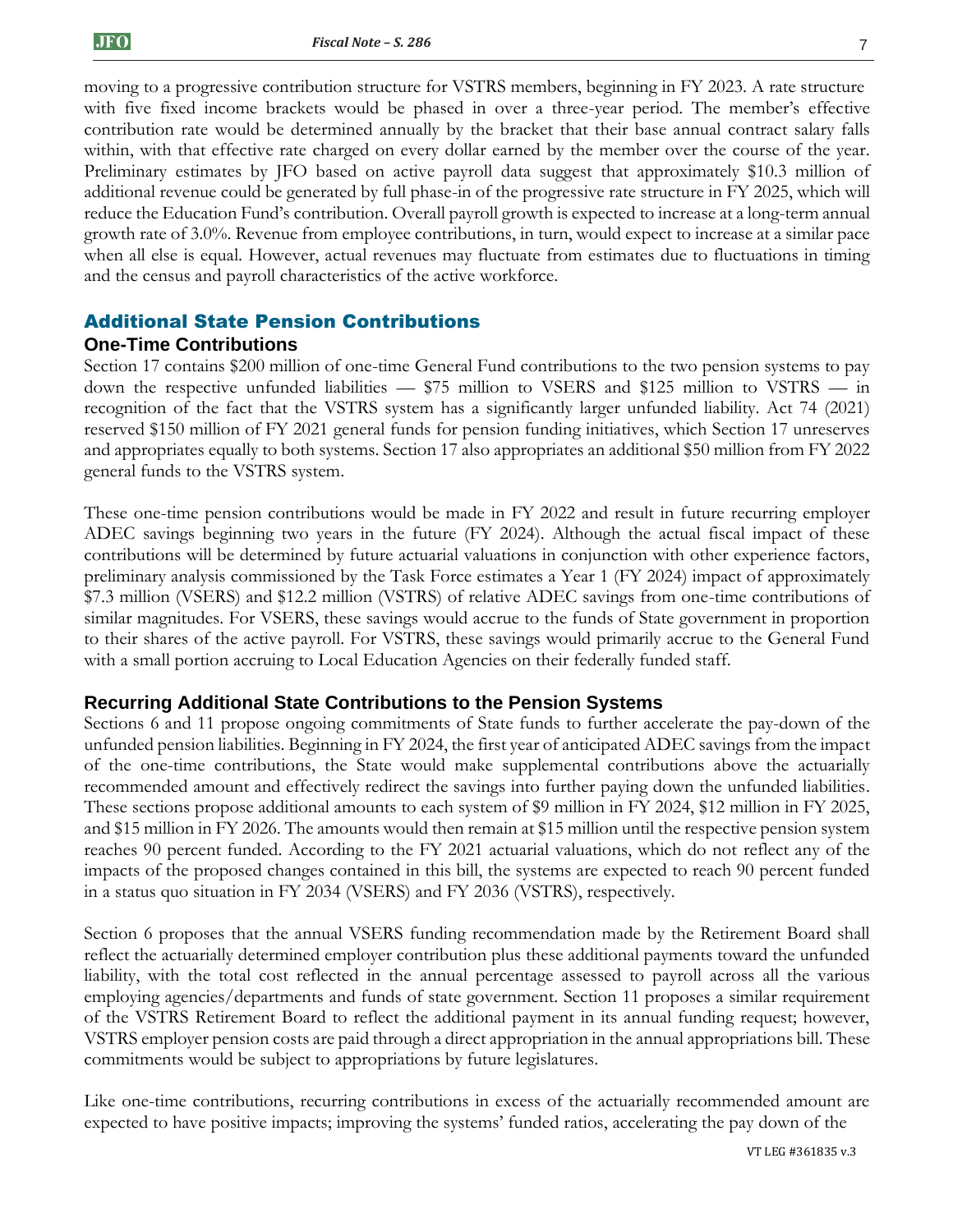moving to a progressive contribution structure for VSTRS members, beginning in FY 2023. A rate structure with five fixed income brackets would be phased in over a three-year period. The member's effective contribution rate would be determined annually by the bracket that their base annual contract salary falls within, with that effective rate charged on every dollar earned by the member over the course of the year. Preliminary estimates by JFO based on active payroll data suggest that approximately \$10.3 million of additional revenue could be generated by full phase-in of the progressive rate structure in FY 2025, which will reduce the Education Fund's contribution. Overall payroll growth is expected to increase at a long-term annual growth rate of 3.0%. Revenue from employee contributions, in turn, would expect to increase at a similar pace when all else is equal. However, actual revenues may fluctuate from estimates due to fluctuations in timing and the census and payroll characteristics of the active workforce.

### Additional State Pension Contributions

#### **One-Time Contributions**

Section 17 contains \$200 million of one-time General Fund contributions to the two pension systems to pay down the respective unfunded liabilities — \$75 million to VSERS and \$125 million to VSTRS — in recognition of the fact that the VSTRS system has a significantly larger unfunded liability. Act 74 (2021) reserved \$150 million of FY 2021 general funds for pension funding initiatives, which Section 17 unreserves and appropriates equally to both systems. Section 17 also appropriates an additional \$50 million from FY 2022 general funds to the VSTRS system.

These one-time pension contributions would be made in FY 2022 and result in future recurring employer ADEC savings beginning two years in the future (FY 2024). Although the actual fiscal impact of these contributions will be determined by future actuarial valuations in conjunction with other experience factors, preliminary analysis commissioned by the Task Force estimates a Year 1 (FY 2024) impact of approximately \$7.3 million (VSERS) and \$12.2 million (VSTRS) of relative ADEC savings from one-time contributions of similar magnitudes. For VSERS, these savings would accrue to the funds of State government in proportion to their shares of the active payroll. For VSTRS, these savings would primarily accrue to the General Fund with a small portion accruing to Local Education Agencies on their federally funded staff.

### **Recurring Additional State Contributions to the Pension Systems**

Sections 6 and 11 propose ongoing commitments of State funds to further accelerate the pay-down of the unfunded pension liabilities. Beginning in FY 2024, the first year of anticipated ADEC savings from the impact of the one-time contributions, the State would make supplemental contributions above the actuarially recommended amount and effectively redirect the savings into further paying down the unfunded liabilities. These sections propose additional amounts to each system of \$9 million in FY 2024, \$12 million in FY 2025, and \$15 million in FY 2026. The amounts would then remain at \$15 million until the respective pension system reaches 90 percent funded. According to the FY 2021 actuarial valuations, which do not reflect any of the impacts of the proposed changes contained in this bill, the systems are expected to reach 90 percent funded in a status quo situation in FY 2034 (VSERS) and FY 2036 (VSTRS), respectively.

Section 6 proposes that the annual VSERS funding recommendation made by the Retirement Board shall reflect the actuarially determined employer contribution plus these additional payments toward the unfunded liability, with the total cost reflected in the annual percentage assessed to payroll across all the various employing agencies/departments and funds of state government. Section 11 proposes a similar requirement of the VSTRS Retirement Board to reflect the additional payment in its annual funding request; however, VSTRS employer pension costs are paid through a direct appropriation in the annual appropriations bill. These commitments would be subject to appropriations by future legislatures.

Like one-time contributions, recurring contributions in excess of the actuarially recommended amount are expected to have positive impacts; improving the systems' funded ratios, accelerating the pay down of the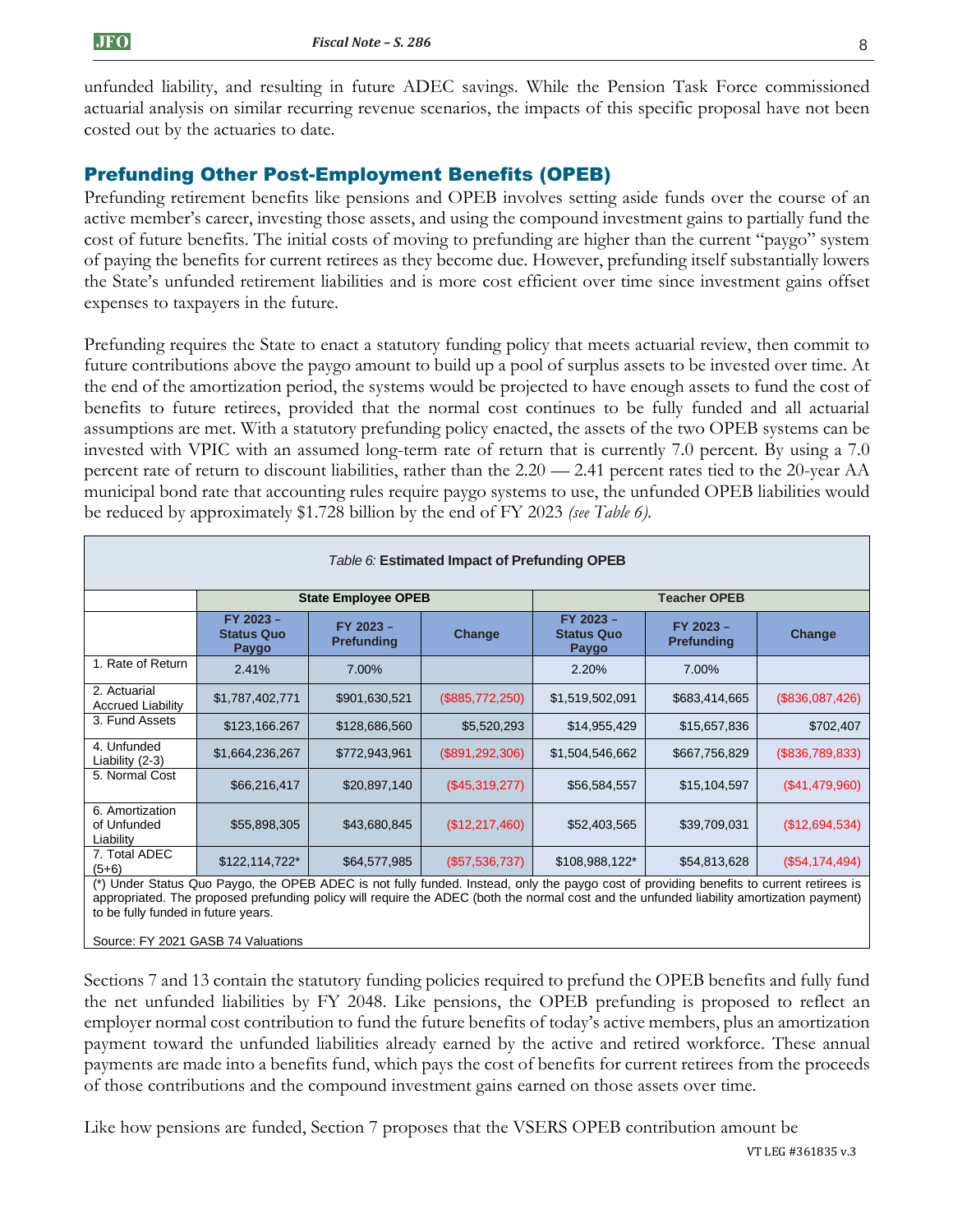unfunded liability, and resulting in future ADEC savings. While the Pension Task Force commissioned actuarial analysis on similar recurring revenue scenarios, the impacts of this specific proposal have not been costed out by the actuaries to date.

# Prefunding Other Post-Employment Benefits (OPEB)

Prefunding retirement benefits like pensions and OPEB involves setting aside funds over the course of an active member's career, investing those assets, and using the compound investment gains to partially fund the cost of future benefits. The initial costs of moving to prefunding are higher than the current "paygo" system of paying the benefits for current retirees as they become due. However, prefunding itself substantially lowers the State's unfunded retirement liabilities and is more cost efficient over time since investment gains offset expenses to taxpayers in the future.

Prefunding requires the State to enact a statutory funding policy that meets actuarial review, then commit to future contributions above the paygo amount to build up a pool of surplus assets to be invested over time. At the end of the amortization period, the systems would be projected to have enough assets to fund the cost of benefits to future retirees, provided that the normal cost continues to be fully funded and all actuarial assumptions are met. With a statutory prefunding policy enacted, the assets of the two OPEB systems can be invested with VPIC with an assumed long-term rate of return that is currently 7.0 percent. By using a 7.0 percent rate of return to discount liabilities, rather than the 2.20 — 2.41 percent rates tied to the 20-year AA municipal bond rate that accounting rules require paygo systems to use, the unfunded OPEB liabilities would be reduced by approximately \$1.728 billion by the end of FY 2023 *(see Table 6).*

| Table 6: Estimated Impact of Prefunding OPEB |                                         |                                |                   |                                         |                                |                  |
|----------------------------------------------|-----------------------------------------|--------------------------------|-------------------|-----------------------------------------|--------------------------------|------------------|
|                                              |                                         | <b>State Employee OPEB</b>     |                   | <b>Teacher OPEB</b>                     |                                |                  |
|                                              | FY 2023 -<br><b>Status Quo</b><br>Paygo | FY 2023 -<br><b>Prefunding</b> | Change            | FY 2023 -<br><b>Status Quo</b><br>Paygo | FY 2023 -<br><b>Prefunding</b> | Change           |
| 1. Rate of Return                            | 2.41%                                   | 7.00%                          |                   | 2.20%                                   | 7.00%                          |                  |
| 2. Actuarial<br><b>Accrued Liability</b>     | \$1,787,402,771                         | \$901,630,521                  | $(\$885,772,250)$ | \$1,519,502,091                         | \$683,414,665                  | (\$836,087,426)  |
| 3. Fund Assets                               | \$123,166.267                           | \$128,686,560                  | \$5,520,293       | \$14,955,429                            | \$15,657,836                   | \$702,407        |
| 4. Unfunded<br>Liability $(2-3)$             | \$1,664,236,267                         | \$772,943,961                  | (\$891, 292, 306) | \$1,504,546,662                         | \$667,756,829                  | (\$836,789,833)  |
| 5. Normal Cost                               | \$66,216,417                            | \$20,897,140                   | (\$45,319,277)    | \$56,584,557                            | \$15,104,597                   | (\$41,479,960)   |
| 6. Amortization<br>of Unfunded<br>Liability  | \$55,898,305                            | \$43,680,845                   | (\$12,217,460)    | \$52,403,565                            | \$39,709,031                   | (\$12,694,534)   |
| 7. Total ADEC<br>$(5+6)$                     | $$122,114,722*$                         | \$64,577,985                   | $(\$57,536,737)$  | \$108,988,122*                          | \$54,813,628                   | $(\$54,174,494)$ |

(\*) Under Status Quo Paygo, the OPEB ADEC is not fully funded. Instead, only the paygo cost of providing benefits to current retirees is appropriated. The proposed prefunding policy will require the ADEC (both the normal cost and the unfunded liability amortization payment) to be fully funded in future years.

Source: FY 2021 GASB 74 Valuations

Sections 7 and 13 contain the statutory funding policies required to prefund the OPEB benefits and fully fund the net unfunded liabilities by FY 2048. Like pensions, the OPEB prefunding is proposed to reflect an employer normal cost contribution to fund the future benefits of today's active members, plus an amortization payment toward the unfunded liabilities already earned by the active and retired workforce. These annual payments are made into a benefits fund, which pays the cost of benefits for current retirees from the proceeds of those contributions and the compound investment gains earned on those assets over time.

Like how pensions are funded, Section 7 proposes that the VSERS OPEB contribution amount be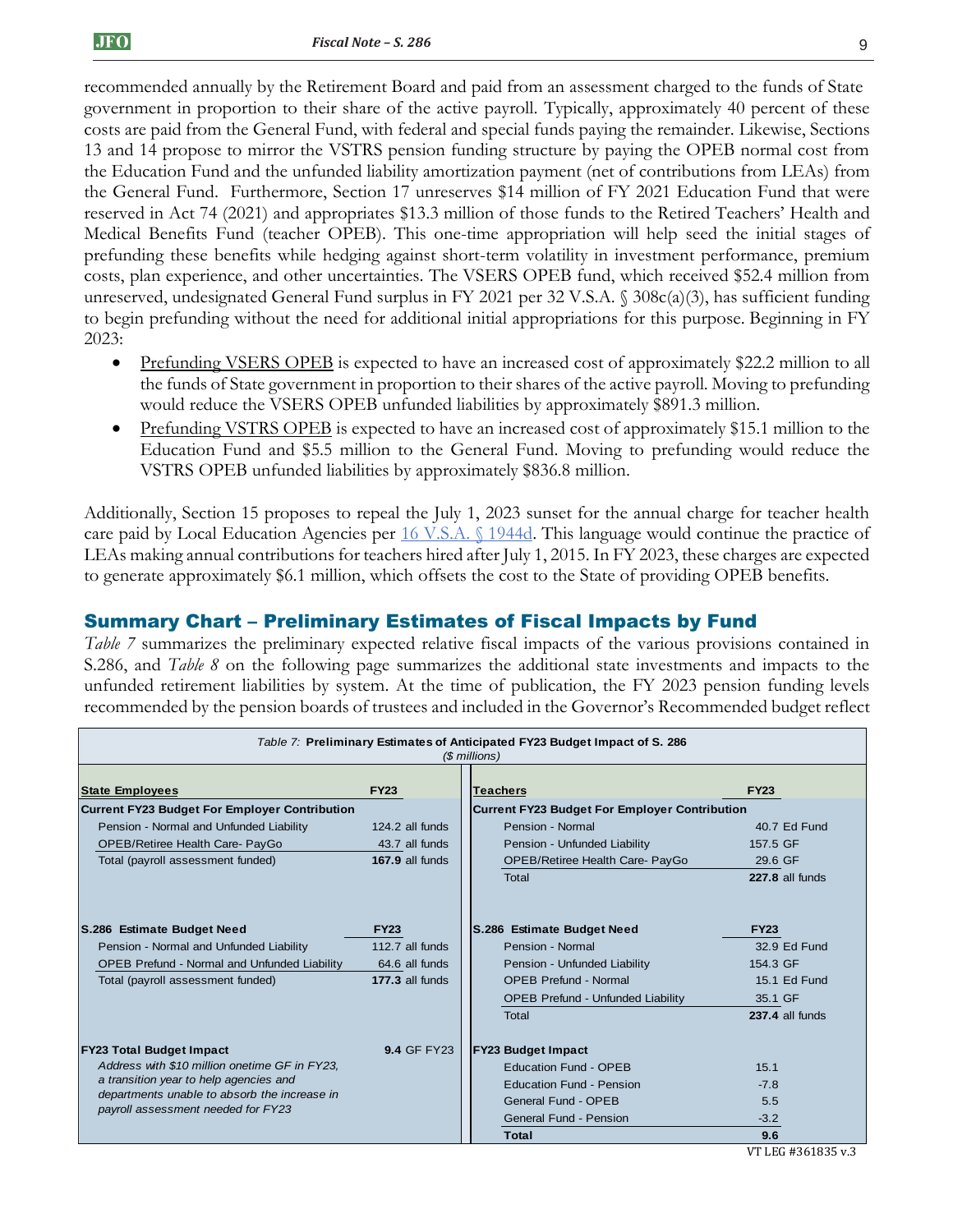recommended annually by the Retirement Board and paid from an assessment charged to the funds of State government in proportion to their share of the active payroll. Typically, approximately 40 percent of these costs are paid from the General Fund, with federal and special funds paying the remainder. Likewise, Sections 13 and 14 propose to mirror the VSTRS pension funding structure by paying the OPEB normal cost from the Education Fund and the unfunded liability amortization payment (net of contributions from LEAs) from the General Fund. Furthermore, Section 17 unreserves \$14 million of FY 2021 Education Fund that were reserved in Act 74 (2021) and appropriates \$13.3 million of those funds to the Retired Teachers' Health and Medical Benefits Fund (teacher OPEB). This one-time appropriation will help seed the initial stages of prefunding these benefits while hedging against short-term volatility in investment performance, premium costs, plan experience, and other uncertainties. The VSERS OPEB fund, which received \$52.4 million from unreserved, undesignated General Fund surplus in FY 2021 per 32 V.S.A. § 308c(a)(3), has sufficient funding to begin prefunding without the need for additional initial appropriations for this purpose. Beginning in FY 2023:

- Prefunding VSERS OPEB is expected to have an increased cost of approximately \$22.2 million to all the funds of State government in proportion to their shares of the active payroll. Moving to prefunding would reduce the VSERS OPEB unfunded liabilities by approximately \$891.3 million.
- Prefunding VSTRS OPEB is expected to have an increased cost of approximately \$15.1 million to the Education Fund and \$5.5 million to the General Fund. Moving to prefunding would reduce the VSTRS OPEB unfunded liabilities by approximately \$836.8 million.

Additionally, Section 15 proposes to repeal the July 1, 2023 sunset for the annual charge for teacher health care paid by Local Education Agencies per [16 V.S.A. §](https://legislature.vermont.gov/statutes/section/16/055/01944d) 1944d. This language would continue the practice of LEAs making annual contributions for teachers hired after July 1, 2015. In FY 2023, these charges are expected to generate approximately \$6.1 million, which offsets the cost to the State of providing OPEB benefits.

# Summary Chart – Preliminary Estimates of Fiscal Impacts by Fund

*Table 7* summarizes the preliminary expected relative fiscal impacts of the various provisions contained in S.286, and *Table 8* on the following page summarizes the additional state investments and impacts to the unfunded retirement liabilities by system. At the time of publication, the FY 2023 pension funding levels recommended by the pension boards of trustees and included in the Governor's Recommended budget reflect

| Table 7: Preliminary Estimates of Anticipated FY23 Budget Impact of S. 286<br>(\$ millions) |                    |                                                      |                 |  |  |
|---------------------------------------------------------------------------------------------|--------------------|------------------------------------------------------|-----------------|--|--|
| <b>State Employees</b>                                                                      | <b>FY23</b>        | <b>Teachers</b>                                      | <b>FY23</b>     |  |  |
| <b>Current FY23 Budget For Employer Contribution</b>                                        |                    | <b>Current FY23 Budget For Employer Contribution</b> |                 |  |  |
| Pension - Normal and Unfunded Liability                                                     | 124.2 all funds    | Pension - Normal                                     | 40.7 Ed Fund    |  |  |
| OPEB/Retiree Health Care- PayGo                                                             | 43.7 all funds     | Pension - Unfunded Liability                         | 157.5 GF        |  |  |
| Total (payroll assessment funded)                                                           | 167.9 all funds    | OPEB/Retiree Health Care- PayGo                      | 29.6 GF         |  |  |
|                                                                                             |                    | Total                                                | 227.8 all funds |  |  |
| S.286 Estimate Budget Need                                                                  | <b>FY23</b>        | S.286 Estimate Budget Need                           | <b>FY23</b>     |  |  |
| Pension - Normal and Unfunded Liability                                                     | 112.7 all funds    | Pension - Normal                                     | 32.9 Ed Fund    |  |  |
| <b>OPEB Prefund - Normal and Unfunded Liability</b>                                         | 64.6 all funds     | Pension - Unfunded Liability                         | 154.3 GF        |  |  |
| Total (payroll assessment funded)                                                           | 177.3 all funds    | <b>OPEB Prefund - Normal</b>                         | 15.1 Ed Fund    |  |  |
|                                                                                             |                    | <b>OPEB Prefund - Unfunded Liability</b>             | 35.1 GF         |  |  |
|                                                                                             |                    | Total                                                | 237.4 all funds |  |  |
| <b>FY23 Total Budget Impact</b>                                                             | <b>9.4 GF FY23</b> | <b>FY23 Budget Impact</b>                            |                 |  |  |
| Address with \$10 million onetime GF in FY23.                                               |                    | <b>Education Fund - OPEB</b>                         | 15.1            |  |  |
| a transition year to help agencies and                                                      |                    | <b>Education Fund - Pension</b>                      | $-7.8$          |  |  |
| departments unable to absorb the increase in                                                |                    | General Fund - OPEB                                  | 5.5             |  |  |
| payroll assessment needed for FY23                                                          |                    | General Fund - Pension                               | $-3.2$          |  |  |
|                                                                                             |                    | Total                                                | 9.6             |  |  |